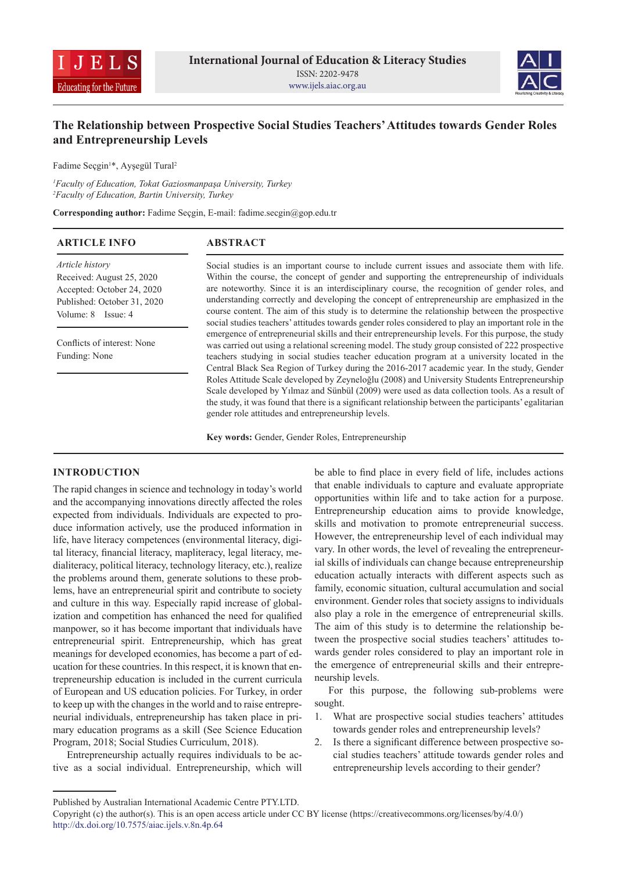



# **The Relationship between Prospective Social Studies Teachers' Attitudes towards Gender Roles and Entrepreneurship Levels**

Fadime Seçgin<sup>1\*</sup>, Ayşegül Tural<sup>2</sup>

*1 Faculty of Education, Tokat Gaziosmanpaşa University, Turkey 2 Faculty of Education, Bartin University, Turkey*

**Corresponding author:** Fadime Seçgin, E-mail: fadime.secgin@gop.edu.tr

| <b>ARTICLE INFO</b>         | <b>ABSTRACT</b>                                                                                                                                                                                        |
|-----------------------------|--------------------------------------------------------------------------------------------------------------------------------------------------------------------------------------------------------|
| Article history             | Social studies is an important course to include current issues and associate them with life.                                                                                                          |
| Received: August 25, 2020   | Within the course, the concept of gender and supporting the entrepreneurship of individuals                                                                                                            |
| Accepted: October 24, 2020  | are noteworthy. Since it is an interdisciplinary course, the recognition of gender roles, and                                                                                                          |
| Published: October 31, 2020 | understanding correctly and developing the concept of entrepreneurship are emphasized in the                                                                                                           |
| Volume: 8 Issue: 4          | course content. The aim of this study is to determine the relationship between the prospective<br>social studies teachers' attitudes towards gender roles considered to play an important role in the  |
| Conflicts of interest: None | emergence of entrepreneurial skills and their entrepreneurship levels. For this purpose, the study<br>was carried out using a relational screening model. The study group consisted of 222 prospective |
| Funding: None               | teachers studying in social studies teacher education program at a university located in the<br>Central Black Sea Region of Turkey during the 2016-2017 academic year. In the study, Gender            |
|                             | Roles Attitude Scale developed by Zeyneloğlu (2008) and University Students Entrepreneurship                                                                                                           |
|                             | Scale developed by Yılmaz and Sünbül (2009) were used as data collection tools. As a result of                                                                                                         |
|                             | the study, it was found that there is a significant relationship between the participants' egalitarian                                                                                                 |
|                             | gender role attitudes and entrepreneurship levels.                                                                                                                                                     |

**Key words:** Gender, Gender Roles, Entrepreneurship

## **INTRODUCTION**

The rapid changes in science and technology in today's world and the accompanying innovations directly affected the roles expected from individuals. Individuals are expected to produce information actively, use the produced information in life, have literacy competences (environmental literacy, digital literacy, financial literacy, mapliteracy, legal literacy, medialiteracy, political literacy, technology literacy, etc.), realize the problems around them, generate solutions to these problems, have an entrepreneurial spirit and contribute to society and culture in this way. Especially rapid increase of globalization and competition has enhanced the need for qualified manpower, so it has become important that individuals have entrepreneurial spirit. Entrepreneurship, which has great meanings for developed economies, has become a part of education for these countries. In this respect, it is known that entrepreneurship education is included in the current curricula of European and US education policies. For Turkey, in order to keep up with the changes in the world and to raise entrepreneurial individuals, entrepreneurship has taken place in primary education programs as a skill (See Science Education Program, 2018; Social Studies Curriculum, 2018).

Entrepreneurship actually requires individuals to be active as a social individual. Entrepreneurship, which will be able to find place in every field of life, includes actions that enable individuals to capture and evaluate appropriate opportunities within life and to take action for a purpose. Entrepreneurship education aims to provide knowledge, skills and motivation to promote entrepreneurial success. However, the entrepreneurship level of each individual may vary. In other words, the level of revealing the entrepreneurial skills of individuals can change because entrepreneurship education actually interacts with different aspects such as family, economic situation, cultural accumulation and social environment. Gender roles that society assigns to individuals also play a role in the emergence of entrepreneurial skills. The aim of this study is to determine the relationship between the prospective social studies teachers' attitudes towards gender roles considered to play an important role in the emergence of entrepreneurial skills and their entrepreneurship levels.

For this purpose, the following sub-problems were sought.

- 1. What are prospective social studies teachers' attitudes towards gender roles and entrepreneurship levels?
- 2. Is there a significant difference between prospective social studies teachers' attitude towards gender roles and entrepreneurship levels according to their gender?

Published by Australian International Academic Centre PTY.LTD.

Copyright (c) the author(s). This is an open access article under CC BY license (https://creativecommons.org/licenses/by/4.0/) http://dx.doi.org/10.7575/aiac.ijels.v.8n.4p.64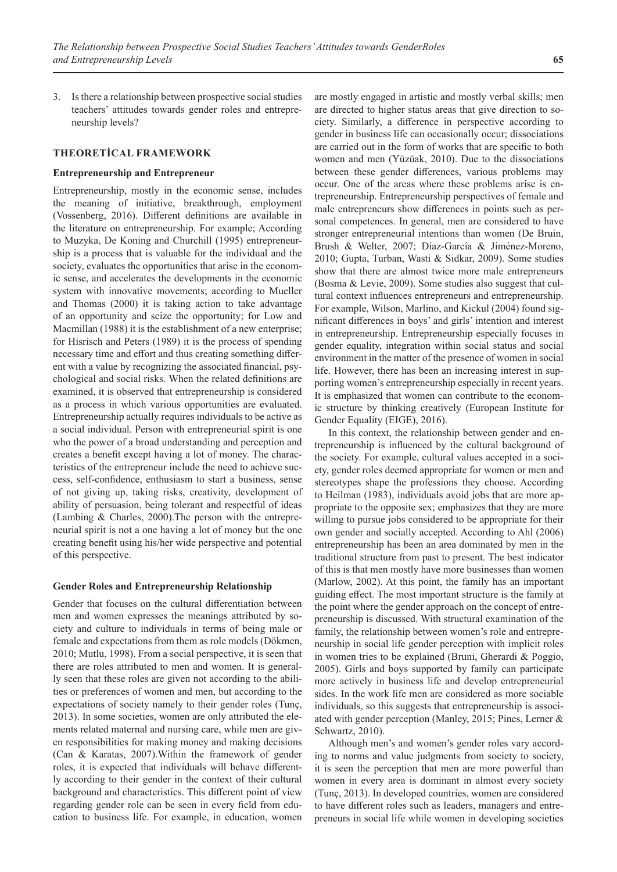3. Is there a relationship between prospective social studies teachers' attitudes towards gender roles and entrepreneurship levels?

#### **THEORETİCAL FRAMEWORK**

#### **Entrepreneurship and Entrepreneur**

Entrepreneurship, mostly in the economic sense, includes the meaning of initiative, breakthrough, employment (Vossenberg, 2016). Different definitions are available in the literature on entrepreneurship. For example; According to Muzyka, De Koning and Churchill (1995) entrepreneurship is a process that is valuable for the individual and the society, evaluates the opportunities that arise in the economic sense, and accelerates the developments in the economic system with innovative movements; according to Mueller and Thomas (2000) it is taking action to take advantage of an opportunity and seize the opportunity; for Low and Macmillan (1988) it is the establishment of a new enterprise; for Hisrisch and Peters (1989) it is the process of spending necessary time and effort and thus creating something different with a value by recognizing the associated financial, psychological and social risks. When the related definitions are examined, it is observed that entrepreneurship is considered as a process in which various opportunities are evaluated. Entrepreneurship actually requires individuals to be active as a social individual. Person with entrepreneurial spirit is one who the power of a broad understanding and perception and creates a benefit except having a lot of money. The characteristics of the entrepreneur include the need to achieve success, self-confidence, enthusiasm to start a business, sense of not giving up, taking risks, creativity, development of ability of persuasion, being tolerant and respectful of ideas (Lambing & Charles, 2000).The person with the entrepreneurial spirit is not a one having a lot of money but the one creating benefit using his/her wide perspective and potential of this perspective.

#### **Gender Roles and Entrepreneurship Relationship**

Gender that focuses on the cultural differentiation between men and women expresses the meanings attributed by society and culture to individuals in terms of being male or female and expectations from them as role models (Dökmen, 2010; Mutlu, 1998). From a social perspective, it is seen that there are roles attributed to men and women. It is generally seen that these roles are given not according to the abilities or preferences of women and men, but according to the expectations of society namely to their gender roles (Tunç, 2013). In some societies, women are only attributed the elements related maternal and nursing care, while men are given responsibilities for making money and making decisions (Can & Karatas, 2007).Within the framework of gender roles, it is expected that individuals will behave differently according to their gender in the context of their cultural background and characteristics. This different point of view regarding gender role can be seen in every field from education to business life. For example, in education, women

are mostly engaged in artistic and mostly verbal skills; men are directed to higher status areas that give direction to society. Similarly, a difference in perspective according to gender in business life can occasionally occur; dissociations are carried out in the form of works that are specific to both women and men (Yüzüak, 2010). Due to the dissociations between these gender differences, various problems may occur. One of the areas where these problems arise is entrepreneurship. Entrepreneurship perspectives of female and male entrepreneurs show differences in points such as personal competences. In general, men are considered to have stronger entrepreneurial intentions than women (De Bruin, Brush & Welter, 2007; Díaz-García & Jiménez-Moreno, 2010; Gupta, Turban, Wasti & Sidkar, 2009). Some studies show that there are almost twice more male entrepreneurs (Bosma & Levie, 2009). Some studies also suggest that cultural context influences entrepreneurs and entrepreneurship. For example, Wilson, Marlino, and Kickul (2004) found significant differences in boys' and girls' intention and interest in entrepreneurship. Entrepreneurship especially focuses in gender equality, integration within social status and social environment in the matter of the presence of women in social life. However, there has been an increasing interest in supporting women's entrepreneurship especially in recent years. It is emphasized that women can contribute to the economic structure by thinking creatively (European Institute for Gender Equality (EIGE), 2016).

In this context, the relationship between gender and entrepreneurship is influenced by the cultural background of the society. For example, cultural values accepted in a society, gender roles deemed appropriate for women or men and stereotypes shape the professions they choose. According to Heilman (1983), individuals avoid jobs that are more appropriate to the opposite sex; emphasizes that they are more willing to pursue jobs considered to be appropriate for their own gender and socially accepted. According to Ahl (2006) entrepreneurship has been an area dominated by men in the traditional structure from past to present. The best indicator of this is that men mostly have more businesses than women (Marlow, 2002). At this point, the family has an important guiding effect. The most important structure is the family at the point where the gender approach on the concept of entrepreneurship is discussed. With structural examination of the family, the relationship between women's role and entrepreneurship in social life gender perception with implicit roles in women tries to be explained (Bruni, Gherardi & Poggio, 2005). Girls and boys supported by family can participate more actively in business life and develop entrepreneurial sides. In the work life men are considered as more sociable individuals, so this suggests that entrepreneurship is associated with gender perception (Manley, 2015; Pines, Lerner & Schwartz, 2010).

Although men's and women's gender roles vary according to norms and value judgments from society to society, it is seen the perception that men are more powerful than women in every area is dominant in almost every society (Tunç, 2013). In developed countries, women are considered to have different roles such as leaders, managers and entrepreneurs in social life while women in developing societies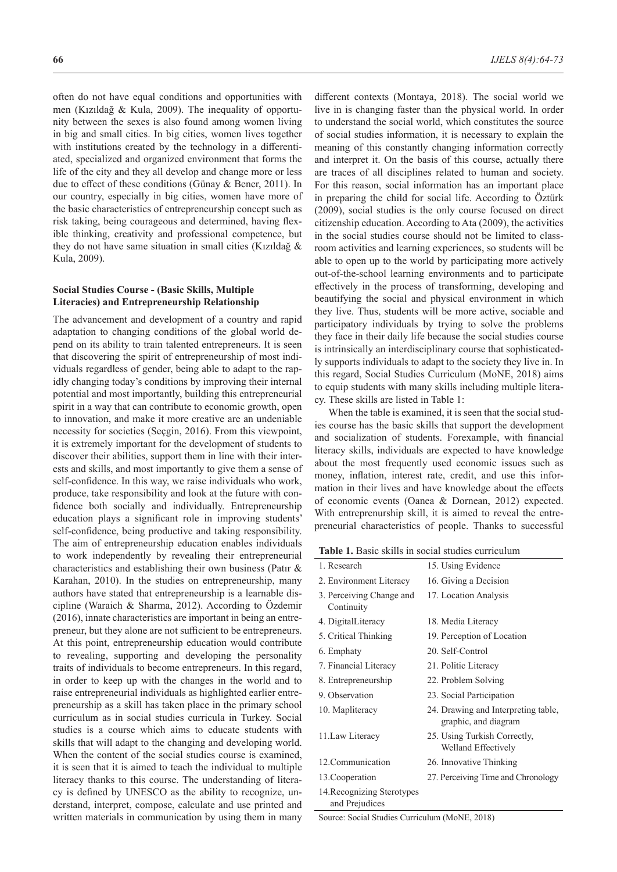often do not have equal conditions and opportunities with men (Kızıldağ & Kula, 2009). The inequality of opportunity between the sexes is also found among women living in big and small cities. In big cities, women lives together with institutions created by the technology in a differentiated, specialized and organized environment that forms the life of the city and they all develop and change more or less due to effect of these conditions (Günay & Bener, 2011). In our country, especially in big cities, women have more of the basic characteristics of entrepreneurship concept such as risk taking, being courageous and determined, having flexible thinking, creativity and professional competence, but they do not have same situation in small cities (Kızıldağ & Kula, 2009).

## **Social Studies Course - (Basic Skills, Multiple Literacies) and Entrepreneurship Relationship**

The advancement and development of a country and rapid adaptation to changing conditions of the global world depend on its ability to train talented entrepreneurs. It is seen that discovering the spirit of entrepreneurship of most individuals regardless of gender, being able to adapt to the rapidly changing today's conditions by improving their internal potential and most importantly, building this entrepreneurial spirit in a way that can contribute to economic growth, open to innovation, and make it more creative are an undeniable necessity for societies (Seçgin, 2016). From this viewpoint, it is extremely important for the development of students to discover their abilities, support them in line with their interests and skills, and most importantly to give them a sense of self-confidence. In this way, we raise individuals who work, produce, take responsibility and look at the future with confidence both socially and individually. Entrepreneurship education plays a significant role in improving students' self-confidence, being productive and taking responsibility. The aim of entrepreneurship education enables individuals to work independently by revealing their entrepreneurial characteristics and establishing their own business (Patır & Karahan, 2010). In the studies on entrepreneurship, many authors have stated that entrepreneurship is a learnable discipline (Waraich & Sharma, 2012). According to Özdemir (2016), innate characteristics are important in being an entrepreneur, but they alone are not sufficient to be entrepreneurs. At this point, entrepreneurship education would contribute to revealing, supporting and developing the personality traits of individuals to become entrepreneurs. In this regard, in order to keep up with the changes in the world and to raise entrepreneurial individuals as highlighted earlier entrepreneurship as a skill has taken place in the primary school curriculum as in social studies curricula in Turkey. Social studies is a course which aims to educate students with skills that will adapt to the changing and developing world. When the content of the social studies course is examined, it is seen that it is aimed to teach the individual to multiple literacy thanks to this course. The understanding of literacy is defined by UNESCO as the ability to recognize, understand, interpret, compose, calculate and use printed and written materials in communication by using them in many

different contexts (Montaya, 2018). The social world we live in is changing faster than the physical world. In order to understand the social world, which constitutes the source of social studies information, it is necessary to explain the meaning of this constantly changing information correctly and interpret it. On the basis of this course, actually there are traces of all disciplines related to human and society. For this reason, social information has an important place in preparing the child for social life. According to Öztürk (2009), social studies is the only course focused on direct citizenship education. According to Ata (2009), the activities in the social studies course should not be limited to classroom activities and learning experiences, so students will be able to open up to the world by participating more actively out-of-the-school learning environments and to participate effectively in the process of transforming, developing and beautifying the social and physical environment in which they live. Thus, students will be more active, sociable and participatory individuals by trying to solve the problems they face in their daily life because the social studies course is intrinsically an interdisciplinary course that sophisticatedly supports individuals to adapt to the society they live in. In this regard, Social Studies Curriculum (MoNE, 2018) aims to equip students with many skills including multiple literacy. These skills are listed in Table 1:

When the table is examined, it is seen that the social studies course has the basic skills that support the development and socialization of students. Forexample, with financial literacy skills, individuals are expected to have knowledge about the most frequently used economic issues such as money, inflation, interest rate, credit, and use this information in their lives and have knowledge about the effects of economic events (Oanea & Dornean, 2012) expected. With entreprenurship skill, it is aimed to reveal the entrepreneurial characteristics of people. Thanks to successful

**Table 1.** Basic skills in social studies curriculum

| 1. Research                                  | 15. Using Evidence                                          |  |  |  |  |
|----------------------------------------------|-------------------------------------------------------------|--|--|--|--|
| 2. Environment Literacy                      | 16. Giving a Decision                                       |  |  |  |  |
| 3. Perceiving Change and<br>Continuity       | 17. Location Analysis                                       |  |  |  |  |
| 4. DigitalLiteracy                           | 18. Media Literacy                                          |  |  |  |  |
| 5. Critical Thinking                         | 19. Perception of Location                                  |  |  |  |  |
| 6. Emphaty                                   | 20. Self-Control                                            |  |  |  |  |
| 7. Financial Literacy                        | 21. Politic Literacy                                        |  |  |  |  |
| 8. Entrepreneurship                          | 22. Problem Solving                                         |  |  |  |  |
| 9. Observation                               | 23. Social Participation                                    |  |  |  |  |
| 10. Mapliteracy                              | 24. Drawing and Interpreting table,<br>graphic, and diagram |  |  |  |  |
| 11. Law Literacy                             | 25. Using Turkish Correctly,<br>Welland Effectively         |  |  |  |  |
| 12. Communication                            | 26. Innovative Thinking                                     |  |  |  |  |
| 13. Cooperation                              | 27. Perceiving Time and Chronology                          |  |  |  |  |
| 14. Recognizing Sterotypes<br>and Prejudices |                                                             |  |  |  |  |

Source: Social Studies Curriculum (MoNE, 2018)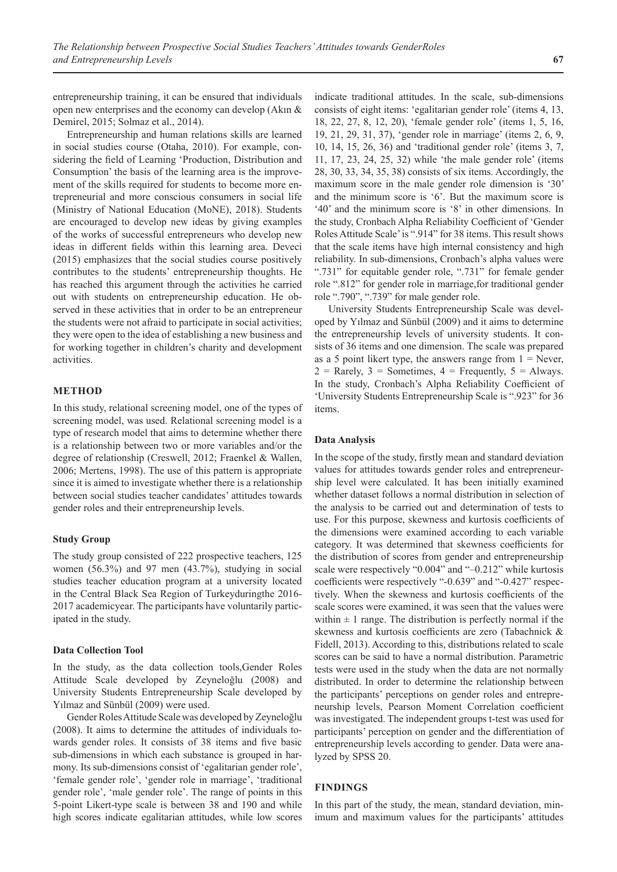entrepreneurship training, it can be ensured that individuals open new enterprises and the economy can develop (Akın & Demirel, 2015; Solmaz et al., 2014).

Entrepreneurship and human relations skills are learned in social studies course (Otaha, 2010). For example, considering the field of Learning 'Production, Distribution and Consumption' the basis of the learning area is the improvement of the skills required for students to become more entrepreneurial and more conscious consumers in social life (Ministry of National Education (MoNE), 2018). Students are encouraged to develop new ideas by giving examples of the works of successful entrepreneurs who develop new ideas in different fields within this learning area. Deveci (2015) emphasizes that the social studies course positively contributes to the students' entrepreneurship thoughts. He has reached this argument through the activities he carried out with students on entrepreneurship education. He observed in these activities that in order to be an entrepreneur the students were not afraid to participate in social activities; they were open to the idea of establishing a new business and for working together in children's charity and development activities.

# **METHOD**

In this study, relational screening model, one of the types of screening model, was used. Relational screening model is a type of research model that aims to determine whether there is a relationship between two or more variables and/or the degree of relationship (Creswell, 2012; Fraenkel & Wallen, 2006; Mertens, 1998). The use of this pattern is appropriate since it is aimed to investigate whether there is a relationship between social studies teacher candidates' attitudes towards gender roles and their entrepreneurship levels.

### **Study Group**

The study group consisted of 222 prospective teachers, 125 women (56.3%) and 97 men (43.7%), studying in social studies teacher education program at a university located in the Central Black Sea Region of Turkeyduringthe 2016- 2017 academicyear. The participants have voluntarily participated in the study.

#### **Data Collection Tool**

In the study, as the data collection tools,Gender Roles Attitude Scale developed by Zeyneloğlu (2008) and University Students Entrepreneurship Scale developed by Yılmaz and Sünbül (2009) were used.

Gender Roles Attitude Scale was developed by Zeyneloğlu (2008). It aims to determine the attitudes of individuals towards gender roles. It consists of 38 items and five basic sub-dimensions in which each substance is grouped in harmony. Its sub-dimensions consist of 'egalitarian gender role', 'female gender role', 'gender role in marriage', 'traditional gender role', 'male gender role'. The range of points in this 5-point Likert-type scale is between 38 and 190 and while high scores indicate egalitarian attitudes, while low scores

indicate traditional attitudes. In the scale, sub-dimensions consists of eight items: 'egalitarian gender role' (items 4, 13, 18, 22, 27, 8, 12, 20), 'female gender role' (items 1, 5, 16, 19, 21, 29, 31, 37), 'gender role in marriage' (items 2, 6, 9, 10, 14, 15, 26, 36) and 'traditional gender role' (items 3, 7, 11, 17, 23, 24, 25, 32) while 'the male gender role' (items 28, 30, 33, 34, 35, 38) consists of six items. Accordingly, the maximum score in the male gender role dimension is '30' and the minimum score is '6'. But the maximum score is '40' and the minimum score is '8' in other dimensions. In the study, Cronbach Alpha Reliability Coefficient of 'Gender Roles Attitude Scale' is ".914" for 38 items. This result shows that the scale items have high internal consistency and high reliability. In sub-dimensions, Cronbach's alpha values were ".731" for equitable gender role, ".731" for female gender role ".812" for gender role in marriage,for traditional gender role ".790", ".739" for male gender role.

University Students Entrepreneurship Scale was developed by Yılmaz and Sünbül (2009) and it aims to determine the entrepreneurship levels of university students. It consists of 36 items and one dimension. The scale was prepared as a 5 point likert type, the answers range from  $1 =$  Never,  $2 =$  Rarely,  $3 =$  Sometimes,  $4 =$  Frequently,  $5 =$  Always. In the study, Cronbach's Alpha Reliability Coefficient of 'University Students Entrepreneurship Scale is ".923" for 36 items.

#### **Data Analysis**

In the scope of the study, firstly mean and standard deviation values for attitudes towards gender roles and entrepreneurship level were calculated. It has been initially examined whether dataset follows a normal distribution in selection of the analysis to be carried out and determination of tests to use. For this purpose, skewness and kurtosis coefficients of the dimensions were examined according to each variable category. It was determined that skewness coefficients for the distribution of scores from gender and entrepreneurship scale were respectively "0.004" and "–0.212" while kurtosis coefficients were respectively "-0.639" and "-0.427" respectively. When the skewness and kurtosis coefficients of the scale scores were examined, it was seen that the values were within  $\pm 1$  range. The distribution is perfectly normal if the skewness and kurtosis coefficients are zero (Tabachnick & Fidell, 2013). According to this, distributions related to scale scores can be said to have a normal distribution. Parametric tests were used in the study when the data are not normally distributed. In order to determine the relationship between the participants' perceptions on gender roles and entrepreneurship levels, Pearson Moment Correlation coefficient was investigated. The independent groups t-test was used for participants' perception on gender and the differentiation of entrepreneurship levels according to gender. Data were analyzed by SPSS 20.

## **FINDINGS**

In this part of the study, the mean, standard deviation, minimum and maximum values for the participants' attitudes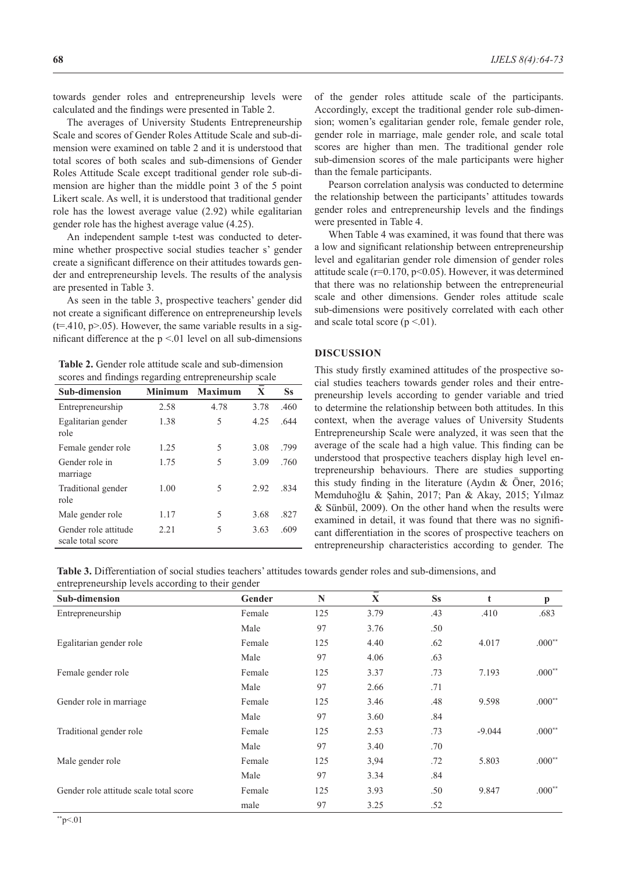towards gender roles and entrepreneurship levels were calculated and the findings were presented in Table 2.

The averages of University Students Entrepreneurship Scale and scores of Gender Roles Attitude Scale and sub-dimension were examined on table 2 and it is understood that total scores of both scales and sub-dimensions of Gender Roles Attitude Scale except traditional gender role sub-dimension are higher than the middle point 3 of the 5 point Likert scale. As well, it is understood that traditional gender role has the lowest average value (2.92) while egalitarian gender role has the highest average value (4.25).

An independent sample t-test was conducted to determine whether prospective social studies teacher s' gender create a significant difference on their attitudes towards gender and entrepreneurship levels. The results of the analysis are presented in Table 3.

As seen in the table 3, prospective teachers' gender did not create a significant difference on entrepreneurship levels  $(t=.410, p>0.05)$ . However, the same variable results in a significant difference at the  $p \le 01$  level on all sub-dimensions

**Table 2.** Gender role attitude scale and sub-dimension scores and findings regarding entrepreneurship scale

| <b>Sub-dimension</b>                      | <b>Minimum</b> | <b>Maximum</b> | $\mathbf{X}$ | <b>Ss</b> |
|-------------------------------------------|----------------|----------------|--------------|-----------|
| Entrepreneurship                          | 2.58           | 4.78           | 3.78         | .460      |
| Egalitarian gender<br>role                | 1.38           | 5              | 4.25         | .644      |
| Female gender role                        | 1.25           | 5              | 3.08         | .799      |
| Gender role in<br>marriage                | 1.75           | 5              | 3.09         | .760      |
| Traditional gender<br>role                | 1.00           | 5              | 2.92         | .834      |
| Male gender role                          | 1.17           | 5              | 3.68         | .827      |
| Gender role attitude<br>scale total score | 2.21           | 5              | 3.63         | .609      |

of the gender roles attitude scale of the participants. Accordingly, except the traditional gender role sub-dimension; women's egalitarian gender role, female gender role, gender role in marriage, male gender role, and scale total scores are higher than men. The traditional gender role sub-dimension scores of the male participants were higher than the female participants.

Pearson correlation analysis was conducted to determine the relationship between the participants' attitudes towards gender roles and entrepreneurship levels and the findings were presented in Table 4.

When Table 4 was examined, it was found that there was a low and significant relationship between entrepreneurship level and egalitarian gender role dimension of gender roles attitude scale ( $r=0.170$ ,  $p<0.05$ ). However, it was determined that there was no relationship between the entrepreneurial scale and other dimensions. Gender roles attitude scale sub-dimensions were positively correlated with each other and scale total score  $(p < 0.01)$ .

### **DISCUSSION**

This study firstly examined attitudes of the prospective social studies teachers towards gender roles and their entrepreneurship levels according to gender variable and tried to determine the relationship between both attitudes. In this context, when the average values of University Students Entrepreneurship Scale were analyzed, it was seen that the average of the scale had a high value. This finding can be understood that prospective teachers display high level entrepreneurship behaviours. There are studies supporting this study finding in the literature (Aydın & Öner, 2016; Memduhoğlu & Şahin, 2017; Pan & Akay, 2015; Yılmaz & Sünbül, 2009). On the other hand when the results were examined in detail, it was found that there was no significant differentiation in the scores of prospective teachers on entrepreneurship characteristics according to gender. The

**Table 3.** Differentiation of social studies teachers' attitudes towards gender roles and sub-dimensions, and entrepreneurship levels according to their gender

| ena epienembinp ie verb aeeording to men gender |        |     |      |           |          |              |
|-------------------------------------------------|--------|-----|------|-----------|----------|--------------|
| <b>Sub-dimension</b>                            | Gender | N   | X    | <b>Ss</b> | t        | $\mathbf{p}$ |
| Entrepreneurship                                | Female | 125 | 3.79 | .43       | .410     | .683         |
|                                                 | Male   | 97  | 3.76 | .50       |          |              |
| Egalitarian gender role                         | Female | 125 | 4.40 | .62       | 4.017    | $.000**$     |
|                                                 | Male   | 97  | 4.06 | .63       |          |              |
| Female gender role                              | Female | 125 | 3.37 | .73       | 7.193    | $.000**$     |
|                                                 | Male   | 97  | 2.66 | .71       |          |              |
| Gender role in marriage                         | Female | 125 | 3.46 | .48       | 9.598    | $.000**$     |
|                                                 | Male   | 97  | 3.60 | .84       |          |              |
| Traditional gender role                         | Female | 125 | 2.53 | .73       | $-9.044$ | $.000**$     |
|                                                 | Male   | 97  | 3.40 | .70       |          |              |
| Male gender role                                | Female | 125 | 3,94 | .72       | 5.803    | $.000**$     |
|                                                 | Male   | 97  | 3.34 | .84       |          |              |
| Gender role attitude scale total score          | Female | 125 | 3.93 | .50       | 9.847    | $.000**$     |
|                                                 | male   | 97  | 3.25 | .52       |          |              |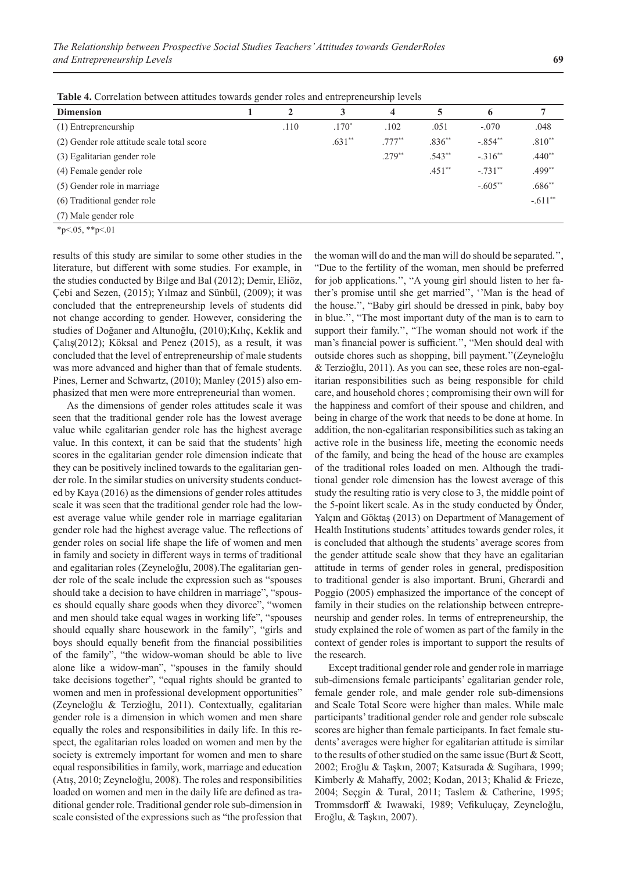**Table 4.** Correlation between attitudes towards gender roles and entrepreneurship levels

| <b>Dimension</b>                           | $\overline{\phantom{0}}$ | 2    | 3        | 4         | 5        | 6          |           |
|--------------------------------------------|--------------------------|------|----------|-----------|----------|------------|-----------|
| (1) Entrepreneurship                       |                          | .110 | $.170*$  | .102      | .051     | $-.070$    | .048      |
| (2) Gender role attitude scale total score |                          |      | $.631**$ | $.777***$ | $.836**$ | $-.854**$  | $.810**$  |
| (3) Egalitarian gender role                |                          |      |          | $.279**$  | $.543**$ | $-.316**$  | $.440**$  |
| (4) Female gender role                     |                          |      |          |           | $.451**$ | $-.731***$ | $.499**$  |
| (5) Gender role in marriage                |                          |      |          |           |          | $-.605**$  | $.686**$  |
| (6) Traditional gender role                |                          |      |          |           |          |            | $-.611**$ |
| (7) Male gender role                       |                          |      |          |           |          |            |           |

 $*p<0.05$ ,  $*p<0.1$ 

results of this study are similar to some other studies in the literature, but different with some studies. For example, in the studies conducted by Bilge and Bal (2012); Demir, Eliöz, Çebi and Sezen, (2015); Yılmaz and Sünbül, (2009); it was concluded that the entrepreneurship levels of students did not change according to gender. However, considering the studies of Doğaner and Altunoğlu, (2010);Kılıç, Keklik and Çalış(2012); Köksal and Penez (2015), as a result, it was concluded that the level of entrepreneurship of male students was more advanced and higher than that of female students. Pines, Lerner and Schwartz, (2010); Manley (2015) also emphasized that men were more entrepreneurial than women.

As the dimensions of gender roles attitudes scale it was seen that the traditional gender role has the lowest average value while egalitarian gender role has the highest average value. In this context, it can be said that the students' high scores in the egalitarian gender role dimension indicate that they can be positively inclined towards to the egalitarian gender role. In the similar studies on university students conducted by Kaya (2016) as the dimensions of gender roles attitudes scale it was seen that the traditional gender role had the lowest average value while gender role in marriage egalitarian gender role had the highest average value. The reflections of gender roles on social life shape the life of women and men in family and society in different ways in terms of traditional and egalitarian roles (Zeyneloğlu, 2008).The egalitarian gender role of the scale include the expression such as "spouses should take a decision to have children in marriage", "spouses should equally share goods when they divorce", "women and men should take equal wages in working life", "spouses should equally share housework in the family", "girls and boys should equally benefit from the financial possibilities of the family", "the widow-woman should be able to live alone like a widow-man", "spouses in the family should take decisions together", "equal rights should be granted to women and men in professional development opportunities" (Zeyneloğlu & Terzioğlu, 2011). Contextually, egalitarian gender role is a dimension in which women and men share equally the roles and responsibilities in daily life. In this respect, the egalitarian roles loaded on women and men by the society is extremely important for women and men to share equal responsibilities in family, work, marriage and education (Atış, 2010; Zeyneloğlu, 2008). The roles and responsibilities loaded on women and men in the daily life are defined as traditional gender role. Traditional gender role sub-dimension in scale consisted of the expressions such as "the profession that the woman will do and the man will do should be separated.'', "Due to the fertility of the woman, men should be preferred for job applications.'', "A young girl should listen to her father's promise until she get married'', ''Man is the head of the house.'', "Baby girl should be dressed in pink, baby boy in blue.'', "The most important duty of the man is to earn to support their family.'', "The woman should not work if the man's financial power is sufficient.'', "Men should deal with outside chores such as shopping, bill payment.''(Zeyneloğlu & Terzioğlu, 2011). As you can see, these roles are non-egalitarian responsibilities such as being responsible for child care, and household chores ; compromising their own will for the happiness and comfort of their spouse and children, and being in charge of the work that needs to be done at home. In addition, the non-egalitarian responsibilities such as taking an active role in the business life, meeting the economic needs of the family, and being the head of the house are examples of the traditional roles loaded on men. Although the traditional gender role dimension has the lowest average of this study the resulting ratio is very close to 3, the middle point of the 5-point likert scale. As in the study conducted by Önder, Yalçın and Göktaş (2013) on Department of Management of Health Institutions students' attitudes towards gender roles, it is concluded that although the students' average scores from the gender attitude scale show that they have an egalitarian attitude in terms of gender roles in general, predisposition to traditional gender is also important. Bruni, Gherardi and Poggio (2005) emphasized the importance of the concept of family in their studies on the relationship between entrepreneurship and gender roles. In terms of entrepreneurship, the study explained the role of women as part of the family in the context of gender roles is important to support the results of the research.

Except traditional gender role and gender role in marriage sub-dimensions female participants' egalitarian gender role, female gender role, and male gender role sub-dimensions and Scale Total Score were higher than males. While male participants' traditional gender role and gender role subscale scores are higher than female participants. In fact female students' averages were higher for egalitarian attitude is similar to the results of other studied on the same issue (Burt & Scott, 2002; Eroğlu & Taşkın, 2007; Katsurada & Sugihara, 1999; Kimberly & Mahaffy, 2002; Kodan, 2013; Khalid & Frieze, 2004; Seçgin & Tural, 2011; Taslem & Catherine, 1995; Trommsdorff & Iwawaki, 1989; Vefikuluçay, Zeyneloğlu, Eroğlu, & Taşkın, 2007).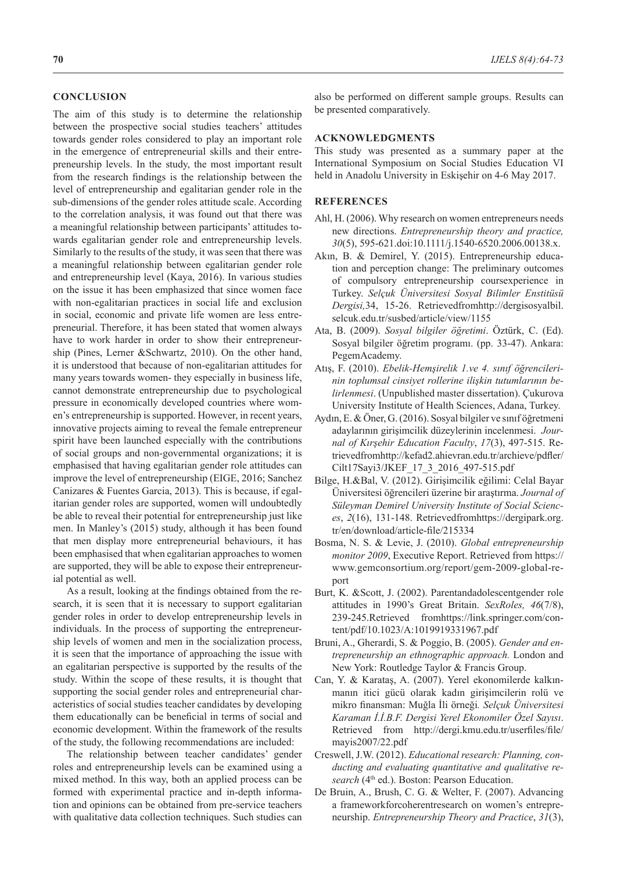## **CONCLUSION**

The aim of this study is to determine the relationship between the prospective social studies teachers' attitudes towards gender roles considered to play an important role in the emergence of entrepreneurial skills and their entrepreneurship levels. In the study, the most important result from the research findings is the relationship between the level of entrepreneurship and egalitarian gender role in the sub-dimensions of the gender roles attitude scale. According to the correlation analysis, it was found out that there was a meaningful relationship between participants' attitudes towards egalitarian gender role and entrepreneurship levels. Similarly to the results of the study, it was seen that there was a meaningful relationship between egalitarian gender role and entrepreneurship level (Kaya, 2016). In various studies on the issue it has been emphasized that since women face with non-egalitarian practices in social life and exclusion in social, economic and private life women are less entrepreneurial. Therefore, it has been stated that women always have to work harder in order to show their entrepreneurship (Pines, Lerner &Schwartz, 2010). On the other hand, it is understood that because of non-egalitarian attitudes for many years towards women- they especially in business life, cannot demonstrate entrepreneurship due to psychological pressure in economically developed countries where women's entrepreneurship is supported. However, in recent years, innovative projects aiming to reveal the female entrepreneur spirit have been launched especially with the contributions of social groups and non-governmental organizations; it is emphasised that having egalitarian gender role attitudes can improve the level of entrepreneurship (EIGE, 2016; Sanchez Canizares & Fuentes Garcia, 2013). This is because, if egalitarian gender roles are supported, women will undoubtedly be able to reveal their potential for entrepreneurship just like men. In Manley's (2015) study, although it has been found that men display more entrepreneurial behaviours, it has been emphasised that when egalitarian approaches to women are supported, they will be able to expose their entrepreneurial potential as well.

As a result, looking at the findings obtained from the research, it is seen that it is necessary to support egalitarian gender roles in order to develop entrepreneurship levels in individuals. In the process of supporting the entrepreneurship levels of women and men in the socialization process, it is seen that the importance of approaching the issue with an egalitarian perspective is supported by the results of the study. Within the scope of these results, it is thought that supporting the social gender roles and entrepreneurial characteristics of social studies teacher candidates by developing them educationally can be beneficial in terms of social and economic development. Within the framework of the results of the study, the following recommendations are included:

The relationship between teacher candidates' gender roles and entrepreneurship levels can be examined using a mixed method. In this way, both an applied process can be formed with experimental practice and in-depth information and opinions can be obtained from pre-service teachers with qualitative data collection techniques. Such studies can

#### **ACKNOWLEDGMENTS**

This study was presented as a summary paper at the International Symposium on Social Studies Education VI held in Anadolu University in Eskişehir on 4-6 May 2017.

## **REFERENCES**

- Ahl, H. (2006). Why research on women entrepreneurs needs new directions. *Entrepreneurship theory and practice, 30*(5), 595-621.doi:10.1111/j.1540-6520.2006.00138.x.
- Akın, B. & Demirel, Y. (2015). Entrepreneurship education and perception change: The preliminary outcomes of compulsory entrepreneurship coursexperience in Turkey. *Selçuk Üniversitesi Sosyal Bilimler Enstitüsü Dergisi,*34, 15-26. Retrievedfromhttp://dergisosyalbil. selcuk.edu.tr/susbed/article/view/1155
- Ata, B. (2009). *Sosyal bilgiler öğretimi*. Öztürk, C. (Ed). Sosyal bilgiler öğretim programı. (pp. 33-47). Ankara: PegemAcademy.
- Atış, F. (2010). *Ebelik-Hemşirelik 1.ve 4. sınıf öğrencilerinin toplumsal cinsiyet rollerine ilişkin tutumlarının belirlenmesi*. (Unpublished master dissertation). Çukurova University Institute of Health Sciences, Adana, Turkey.
- Aydın, E. & Öner, G. (2016). Sosyal bilgiler ve sınıf öğretmeni adaylarının girişimcilik düzeylerinin incelenmesi. *Journal of Kırşehir Education Faculty*, *17*(3), 497-515. Retrievedfromhttp://kefad2.ahievran.edu.tr/archieve/pdfler/ Cilt17Sayi3/JKEF\_17\_3\_2016\_497-515.pdf
- Bilge, H.&Bal, V. (2012). Girişimcilik eğilimi: Celal Bayar Üniversitesi öğrencileri üzerine bir araştırma. *Journal of Süleyman Demirel University Institute of Social Sciences*, *2*(16), 131-148. Retrievedfromhttps://dergipark.org. tr/en/download/article-file/215334
- Bosma, N. S. & Levie, J. (2010). *Global entrepreneurship monitor 2009*, Executive Report. Retrieved from https:// www.gemconsortium.org/report/gem-2009-global-report
- Burt, K. &Scott, J. (2002). Parentandadolescentgender role attitudes in 1990's Great Britain. *SexRoles, 46*(7/8), 239-245.Retrieved fromhttps://link.springer.com/content/pdf/10.1023/A:1019919331967.pdf
- Bruni, A., Gherardi, S. & Poggio, B. (2005). *Gender and entrepreneurship an ethnographic approach.* London and New York: Routledge Taylor & Francis Group.
- Can, Y. & Karataş, A. (2007). Yerel ekonomilerde kalkınmanın itici gücü olarak kadın girişimcilerin rolü ve mikro finansman: Muğla İli örneği*. Selçuk Üniversitesi Karaman İ.İ.B.F. Dergisi Yerel Ekonomiler Özel Sayısı*. Retrieved from http://dergi.kmu.edu.tr/userfiles/file/ mayis2007/22.pdf
- Creswell, J.W. (2012). *Educational research: Planning, conducting and evaluating quantitative and qualitative re*search (4<sup>th</sup> ed.). Boston: Pearson Education.
- De Bruin, A., Brush, C. G. & Welter, F. (2007). Advancing a frameworkforcoherentresearch on women's entrepreneurship. *Entrepreneurship Theory and Practice*, *31*(3),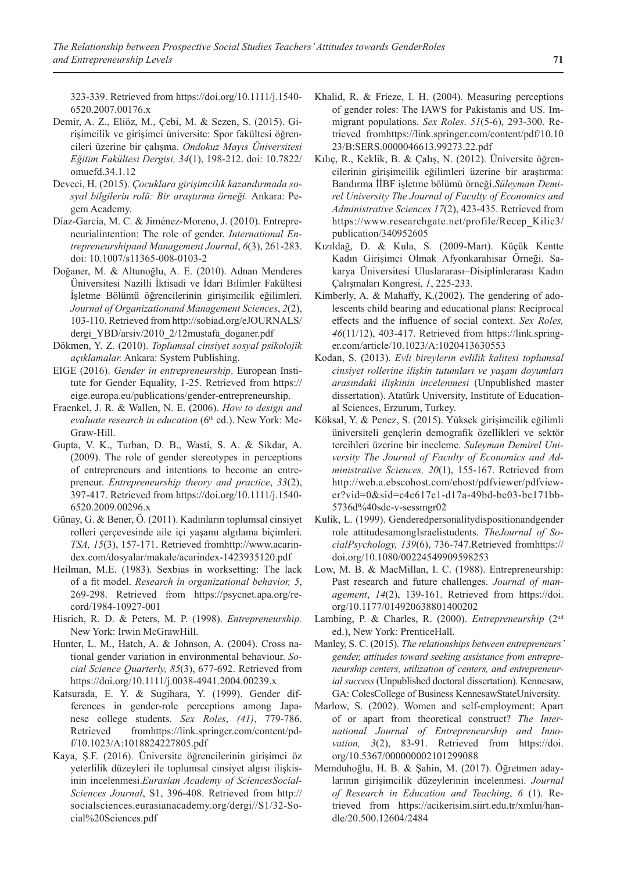323-339. Retrieved from https://doi.org/10.1111/j.1540- 6520.2007.00176.x

- Demir, A. Z., Eliöz, M., Çebi, M. & Sezen, S. (2015). Girişimcilik ve girişimci üniversite: Spor fakültesi öğrencileri üzerine bir çalışma. *Ondokuz Mayıs Üniversitesi Eğitim Fakültesi Dergisi, 34*(1), 198-212. doi: 10.7822/ omuefd.34.1.12
- Deveci, H. (2015). *Çocuklara girişimcilik kazandırmada sosyal bilgilerin rolü: Bir araştırma örneği.* Ankara: Pegem Academy.
- Díaz-García, M. C. & Jiménez-Moreno, J. (2010). Entrepreneurialintention: The role of gender. *International Entrepreneurshipand Management Journal*, *6*(3), 261-283. doi: 10.1007/s11365-008-0103-2
- Doğaner, M. & Altunoğlu, A. E. (2010). Adnan Menderes Üniversitesi Nazilli İktisadi ve İdari Bilimler Fakültesi İşletme Bölümü öğrencilerinin girişimcilik eğilimleri. *Journal of Organizationand Management Sciences*, *2*(2), 103-110. Retrieved from http://sobiad.org/eJOURNALS/ dergi\_YBD/arsiv/2010\_2/12mustafa\_doganer.pdf
- Dökmen, Y. Z. (2010). *Toplumsal cinsiyet sosyal psikolojik açıklamalar.* Ankara: System Publishing.
- EIGE (2016). *Gender in entrepreneurship*. European Institute for Gender Equality, 1-25. Retrieved from https:// eige.europa.eu/publications/gender-entrepreneurship.
- Fraenkel, J. R. & Wallen, N. E. (2006). *How to design and evaluate research in education* (6<sup>th</sup> ed.). New York: Mc-Graw-Hill.
- Gupta, V. K., Turban, D. B., Wasti, S. A. & Sikdar, A. (2009). The role of gender stereotypes in perceptions of entrepreneurs and intentions to become an entrepreneur. *Entrepreneurship theory and practice*, *33*(2), 397-417. Retrieved from https://doi.org/10.1111/j.1540- 6520.2009.00296.x
- Günay, G. & Bener, Ö. (2011). Kadınların toplumsal cinsiyet rolleri çerçevesinde aile içi yaşamı algılama biçimleri. *TSA, 15*(3), 157-171. Retrieved fromhttp://www.acarindex.com/dosyalar/makale/acarindex-1423935120.pdf
- Heilman, M.E. (1983). Sexbias in worksetting: The lack of a fit model. *Research in organizational behavior, 5*, 269-298. Retrieved from https://psycnet.apa.org/record/1984-10927-001
- Hisrich, R. D. & Peters, M. P. (1998). *Entrepreneurship.* New York: Irwin McGrawHill.
- Hunter, L. M., Hatch, A. & Johnson, A. (2004). Cross national gender variation in environmental behaviour. *Social Science Quarterly, 85*(3), 677-692. Retrieved from https://doi.org/10.1111/j.0038-4941.2004.00239.x
- Katsurada, E. Y. & Sugihara, Y. (1999). Gender differences in gender-role perceptions among Japanese college students. *Sex Roles*, *(41)*, 779-786. Retrieved fromhttps://link.springer.com/content/pdf/10.1023/A:1018824227805.pdf
- Kaya, Ş.F. (2016). Üniversite öğrencilerinin girişimci öz yeterlilik düzeyleri ile toplumsal cinsiyet algısı ilişkisinin incelenmesi.*Eurasian Academy of SciencesSocial-Sciences Journal*, S1, 396-408. Retrieved from http:// socialsciences.eurasianacademy.org/dergi//S1/32-Social%20Sciences.pdf
- Khalid, R. & Frieze, I. H. (2004). Measuring perceptions of gender roles: The IAWS for Pakistanis and US. Immigrant populations. *Sex Roles*. *51*(5-6), 293-300. Retrieved fromhttps://link.springer.com/content/pdf/10.10 23/B:SERS.0000046613.99273.22.pdf
- Kılıç, R., Keklik, B. & Çalış, N. (2012). Üniversite öğrencilerinin girişimcilik eğilimleri üzerine bir araştırma: Bandırma İİBF işletme bölümü örneği.*Süleyman Demirel University The Journal of Faculty of Economics and Administrative Sciences 17*(2), 423-435. Retrieved from https://www.researchgate.net/profile/Recep\_Kilic3/ publication/340952605
- Kızıldağ, D. & Kula, S. (2009-Mart). Küçük Kentte Kadın Girişimci Olmak Afyonkarahisar Örneği. Sakarya Üniversitesi Uluslararası–Disiplinlerarası Kadın Çalışmaları Kongresi, *1*, 225-233.
- Kimberly, A. & Mahaffy, K.(2002). The gendering of adolescents child bearing and educational plans: Reciprocal effects and the influence of social context. *Sex Roles, 46*(11/12), 403-417. Retrieved from https://link.springer.com/article/10.1023/A:1020413630553
- Kodan, S. (2013). *Evli bireylerin evlilik kalitesi toplumsal cinsiyet rollerine ilişkin tutumları ve yaşam doyumları arasındaki ilişkinin incelenmesi* (Unpublished master dissertation). Atatürk University, Institute of Educational Sciences, Erzurum, Turkey.
- Köksal, Y. & Penez, S. (2015). Yüksek girişimcilik eğilimli üniversiteli gençlerin demografik özellikleri ve sektör tercihleri üzerine bir inceleme. *Suleyman Demirel University The Journal of Faculty of Economics and Administrative Sciences, 20*(1), 155-167. Retrieved from http://web.a.ebscohost.com/ehost/pdfviewer/pdfviewer?vid=0&sid=c4c617c1-d17a-49bd-be03-bc171bb-5736d%40sdc-v-sessmgr02
- Kulik, L. (1999). Genderedpersonalitydispositionandgender role attitudesamongIsraelistudents. *TheJournal of SocialPsychology, 139*(6), 736-747.Retrieved fromhttps:// doi.org/10.1080/00224549909598253
- Low, M. B. & MacMillan, I. C. (1988). Entrepreneurship: Past research and future challenges. *Journal of management*, *14*(2), 139-161. Retrieved from https://doi. org/10.1177/014920638801400202
- Lambing, P. & Charles, R. (2000). *Entrepreneurship* (2<sup>nd</sup> ed.), New York: PrenticeHall.
- Manley, S. C. (2015). *The relationships between entrepreneurs' gender, attitudes toward seeking assistance from entrepreneurship centers, utilization of centers, and entrepreneurial success* (Unpublished doctoral dissertation). Kennesaw, GA: ColesCollege of Business KennesawStateUniversity.
- Marlow, S. (2002). Women and self-employment: Apart of or apart from theoretical construct? *The International Journal of Entrepreneurship and Inno*vation, 3(2), 83-91. Retrieved from https://doi. org/10.5367/000000002101299088
- Memduhoğlu, H. B. & Şahin, M. (2017). Öğretmen adaylarının girişimcilik düzeylerinin incelenmesi. *Journal of Research in Education and Teaching*, *6* (1). Retrieved from https://acikerisim.siirt.edu.tr/xmlui/handle/20.500.12604/2484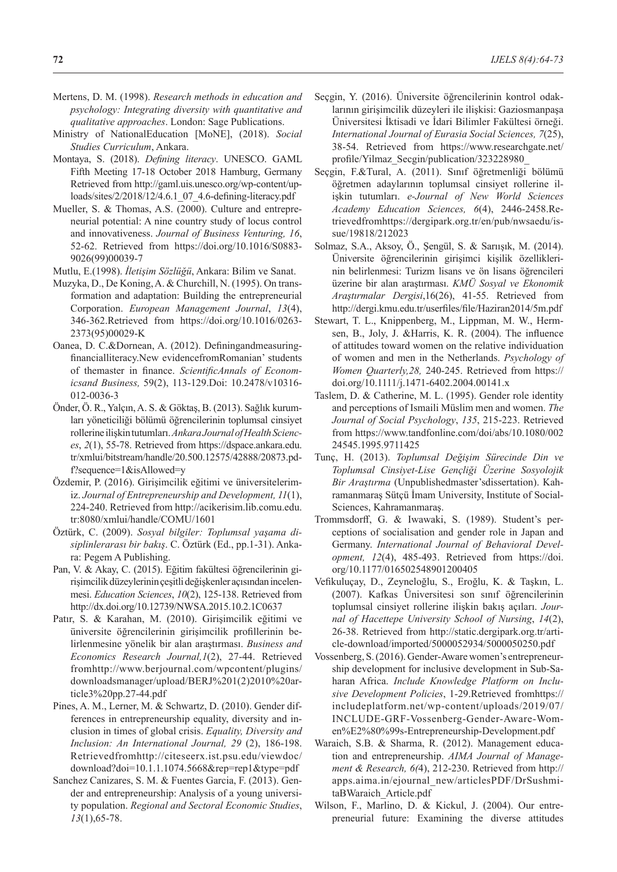- Mertens, D. M. (1998). *Research methods in education and psychology: Integrating diversity with quantitative and qualitative approaches*. London: Sage Publications.
- Ministry of NationalEducation [MoNE], (2018). *Social Studies Curriculum*, Ankara.
- Montaya, S. (2018). *Defining literacy*. UNESCO. GAML Fifth Meeting 17-18 October 2018 Hamburg, Germany Retrieved from http://gaml.uis.unesco.org/wp-content/uploads/sites/2/2018/12/4.6.1\_07\_4.6-defining-literacy.pdf
- Mueller, S. & Thomas, A.S. (2000). Culture and entrepreneurial potential: A nine country study of locus control and innovativeness. *Journal of Business Venturing, 16*, 52-62. Retrieved from https://doi.org/10.1016/S0883- 9026(99)00039-7
- Mutlu, E.(1998). *İletişim Sözlüğü*, Ankara: Bilim ve Sanat.
- Muzyka, D., De Koning, A. & Churchill, N. (1995). On transformation and adaptation: Building the entrepreneurial Corporation. *European Management Journal*, *13*(4), 346-362.Retrieved from https://doi.org/10.1016/0263- 2373(95)00029-K
- Oanea, D. C.&Dornean, A. (2012). Definingandmeasuringfinancialliteracy.New evidencefromRomanian' students of themaster in finance. *ScientificAnnals of Economicsand Business,* 59(2), 113-129.Doi: 10.2478/v10316- 012-0036-3
- Önder, Ö. R., Yalçın, A. S. & Göktaş, B. (2013). Sağlık kurumları yöneticiliği bölümü öğrencilerinin toplumsal cinsiyet rollerine ilişkin tutumları. *Ankara Journal of Health Sciences*, *2*(1), 55-78. Retrieved from https://dspace.ankara.edu. tr/xmlui/bitstream/handle/20.500.12575/42888/20873.pdf?sequence=1&isAllowed=y
- Özdemir, P. (2016). Girişimcilik eğitimi ve üniversitelerimiz. *Journal of Entrepreneurship and Development, 11*(1), 224-240. Retrieved from http://acikerisim.lib.comu.edu. tr:8080/xmlui/handle/COMU/1601
- Öztürk, C. (2009). *Sosyal bilgiler: Toplumsal yaşama disiplinlerarası bir bakış*. C. Öztürk (Ed., pp.1-31). Ankara: Pegem A Publishing.
- Pan, V. & Akay, C. (2015). Eğitim fakültesi öğrencilerinin girişimcilik düzeylerinin çeşitli değişkenler açısından incelenmesi. *Education Sciences*, *10*(2), 125-138. Retrieved from http://dx.doi.org/10.12739/NWSA.2015.10.2.1C0637
- Patır, S. & Karahan, M. (2010). Girişimcilik eğitimi ve üniversite öğrencilerinin girişimcilik profillerinin belirlenmesine yönelik bir alan araştırması. *Business and Economics Research Journal,1*(2), 27-44. Retrieved fromhttp://www.berjournal.com/wpcontent/plugins/ downloadsmanager/upload/BERJ%201(2)2010%20article3%20pp.27-44.pdf
- Pines, A. M., Lerner, M. & Schwartz, D. (2010). Gender differences in entrepreneurship equality, diversity and inclusion in times of global crisis. *Equality, Diversity and Inclusion: An International Journal, 29* (2), 186-198. Retrievedfromhttp://citeseerx.ist.psu.edu/viewdoc/ download?doi=10.1.1.1074.5668&rep=rep1&type=pdf
- Sanchez Canizares, S. M. & Fuentes Garcia, F. (2013). Gender and entrepreneurship: Analysis of a young university population. *Regional and Sectoral Economic Studies*, *13*(1),65-78.
- Seçgin, Y. (2016). Üniversite öğrencilerinin kontrol odaklarının girişimcilik düzeyleri ile ilişkisi: Gaziosmanpaşa Üniversitesi İktisadi ve İdari Bilimler Fakültesi örneği. *International Journal of Eurasia Social Sciences, 7*(25), 38-54. Retrieved from https://www.researchgate.net/ profile/Yilmaz\_Secgin/publication/323228980\_
- Seçgin, F.&Tural, A. (2011). Sınıf öğretmenliği bölümü öğretmen adaylarının toplumsal cinsiyet rollerine ilişkin tutumları. *e-Journal of New World Sciences Academy Education Sciences, 6*(4), 2446-2458.Retrievedfromhttps://dergipark.org.tr/en/pub/nwsaedu/issue/19818/212023
- Solmaz, S.A., Aksoy, Ö., Şengül, S. & Sarıışık, M. (2014). Üniversite öğrencilerinin girişimci kişilik özelliklerinin belirlenmesi: Turizm lisans ve ön lisans öğrencileri üzerine bir alan araştırması. *KMÜ Sosyal ve Ekonomik Araştırmalar Dergisi*,16(26), 41-55. Retrieved from http://dergi.kmu.edu.tr/userfiles/file/Haziran2014/5m.pdf
- Stewart, T. L., Knippenberg, M., Lippman, M. W., Hermsen, B., Joly, J. &Harris, K. R. (2004). The influence of attitudes toward women on the relative individuation of women and men in the Netherlands. *Psychology of Women Quarterly,28,* 240-245. Retrieved from https:// doi.org/10.1111/j.1471-6402.2004.00141.x
- Taslem, D. & Catherine, M. L. (1995). Gender role identity and perceptions of Ismaili Müslim men and women. *The Journal of Social Psychology*, *135*, 215-223. Retrieved from https://www.tandfonline.com/doi/abs/10.1080/002 24545.1995.9711425
- Tunç, H. (2013). *Toplumsal Değişim Sürecinde Din ve Toplumsal Cinsiyet-Lise Gençliği Üzerine Sosyolojik Bir Araştırma* (Unpublishedmaster'sdissertation). Kahramanmaraş Sütçü İmam University, Institute of Social-Sciences, Kahramanmaraş.
- Trommsdorff, G. & Iwawaki, S. (1989). Student's perceptions of socialisation and gender role in Japan and Germany. *International Journal of Behavioral Development, 12*(4), 485-493. Retrieved from https://doi. org/10.1177/016502548901200405
- Vefikuluçay, D., Zeyneloğlu, S., Eroğlu, K. & Taşkın, L. (2007). Kafkas Üniversitesi son sınıf öğrencilerinin toplumsal cinsiyet rollerine ilişkin bakış açıları. *Journal of Hacettepe University School of Nursing*, *14*(2), 26-38. Retrieved from http://static.dergipark.org.tr/article-download/imported/5000052934/5000050250.pdf
- Vossenberg, S. (2016). Gender-Aware women's entrepreneurship development for inclusive development in Sub-Saharan Africa. *Include Knowledge Platform on Inclusive Development Policies*, 1-29.Retrieved fromhttps:// includeplatform.net/wp-content/uploads/2019/07/ INCLUDE-GRF-Vossenberg-Gender-Aware-Women%E2%80%99s-Entrepreneurship-Development.pdf
- Waraich, S.B. & Sharma, R. (2012). Management education and entrepreneurship. *AIMA Journal of Management & Research, 6(*4), 212-230. Retrieved from http:// apps.aima.in/ejournal\_new/articlesPDF/DrSushmitaBWaraich\_Article.pdf
- Wilson, F., Marlino, D. & Kickul, J. (2004). Our entrepreneurial future: Examining the diverse attitudes